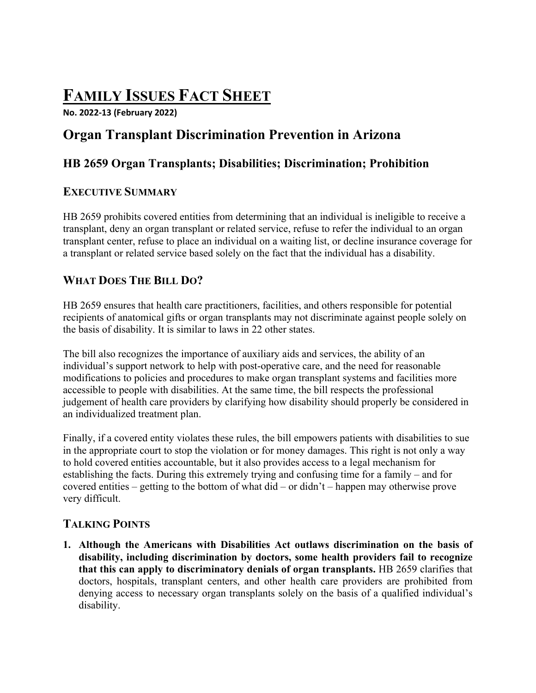# **FAMILY ISSUES FACT SHEET**

**No. 2022-13 (February 2022)**

# **Organ Transplant Discrimination Prevention in Arizona**

# **HB 2659 Organ Transplants; Disabilities; Discrimination; Prohibition**

#### **EXECUTIVE SUMMARY**

HB 2659 prohibits covered entities from determining that an individual is ineligible to receive a transplant, deny an organ transplant or related service, refuse to refer the individual to an organ transplant center, refuse to place an individual on a waiting list, or decline insurance coverage for a transplant or related service based solely on the fact that the individual has a disability.

## **WHAT DOES THE BILL DO?**

HB 2659 ensures that health care practitioners, facilities, and others responsible for potential recipients of anatomical gifts or organ transplants may not discriminate against people solely on the basis of disability. It is similar to laws in 22 other states.

The bill also recognizes the importance of auxiliary aids and services, the ability of an individual's support network to help with post-operative care, and the need for reasonable modifications to policies and procedures to make organ transplant systems and facilities more accessible to people with disabilities. At the same time, the bill respects the professional judgement of health care providers by clarifying how disability should properly be considered in an individualized treatment plan.

Finally, if a covered entity violates these rules, the bill empowers patients with disabilities to sue in the appropriate court to stop the violation or for money damages. This right is not only a way to hold covered entities accountable, but it also provides access to a legal mechanism for establishing the facts. During this extremely trying and confusing time for a family – and for covered entities – getting to the bottom of what did – or didn't – happen may otherwise prove very difficult.

## **TALKING POINTS**

**1. Although the Americans with Disabilities Act outlaws discrimination on the basis of disability, including discrimination by doctors, some health providers fail to recognize that this can apply to discriminatory denials of organ transplants.** HB 2659 clarifies that doctors, hospitals, transplant centers, and other health care providers are prohibited from denying access to necessary organ transplants solely on the basis of a qualified individual's disability.